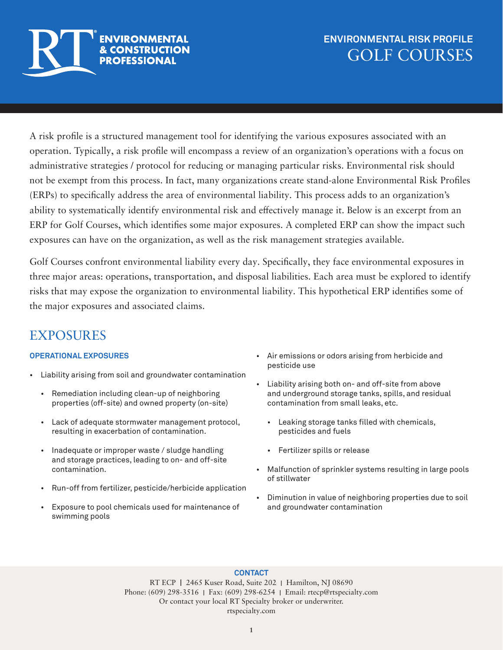

### **ENVIRONMENTAL RISK PROFILE** GOLF COURSES

A risk profile is a structured management tool for identifying the various exposures associated with an operation. Typically, a risk profile will encompass a review of an organization's operations with a focus on administrative strategies / protocol for reducing or managing particular risks. Environmental risk should not be exempt from this process. In fact, many organizations create stand-alone Environmental Risk Profiles (ERPs) to specifically address the area of environmental liability. This process adds to an organization's ability to systematically identify environmental risk and effectively manage it. Below is an excerpt from an ERP for Golf Courses, which identifies some major exposures. A completed ERP can show the impact such exposures can have on the organization, as well as the risk management strategies available.

Golf Courses confront environmental liability every day. Specifically, they face environmental exposures in three major areas: operations, transportation, and disposal liabilities. Each area must be explored to identify risks that may expose the organization to environmental liability. This hypothetical ERP identifies some of the major exposures and associated claims.

# **EXPOSURES**

### **OPERATIONAL EXPOSURES**

- Liability arising from soil and groundwater contamination
	- Remediation including clean-up of neighboring properties (off-site) and owned property (on-site)
	- Lack of adequate stormwater management protocol, resulting in exacerbation of contamination.
	- Inadequate or improper waste / sludge handling and storage practices, leading to on- and off-site contamination.
	- Run-off from fertilizer, pesticide/herbicide application
	- Exposure to pool chemicals used for maintenance of swimming pools
- Air emissions or odors arising from herbicide and pesticide use
- Liability arising both on- and off-site from above and underground storage tanks, spills, and residual contamination from small leaks, etc.
	- Leaking storage tanks filled with chemicals, pesticides and fuels
	- Fertilizer spills or release
- Malfunction of sprinkler systems resulting in large pools of stillwater
- Diminution in value of neighboring properties due to soil and groundwater contamination

### **CONTACT**

RT ECP I2465 Kuser Road, Suite 202 IHamilton, NJ 08690 Phone: (609) 298-3516 IFax: (609) 298-6254 IEmail: rtecp@rtspecialty.com Or contact your local RT Specialty broker or underwriter. rtspecialty.com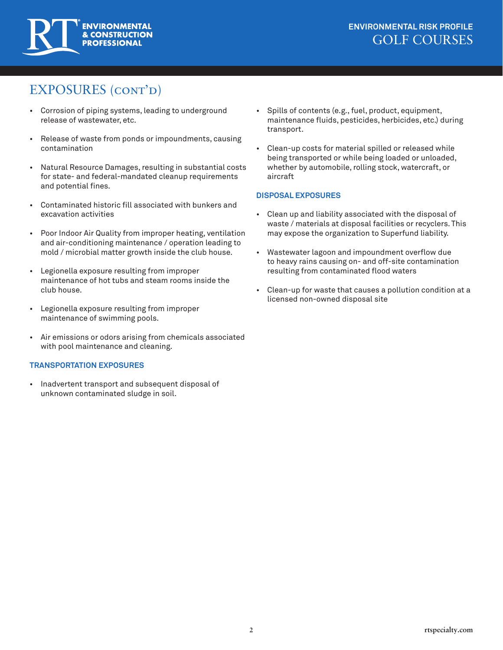

# EXPOSURES (cont'd)

- Corrosion of piping systems, leading to underground release of wastewater, etc.
- Release of waste from ponds or impoundments, causing contamination
- Natural Resource Damages, resulting in substantial costs for state- and federal-mandated cleanup requirements and potential fines.
- Contaminated historic fill associated with bunkers and excavation activities
- Poor Indoor Air Quality from improper heating, ventilation and air-conditioning maintenance / operation leading to mold / microbial matter growth inside the club house.
- Legionella exposure resulting from improper maintenance of hot tubs and steam rooms inside the club house.
- Legionella exposure resulting from improper maintenance of swimming pools.
- Air emissions or odors arising from chemicals associated with pool maintenance and cleaning.

#### **TRANSPORTATION EXPOSURES**

• Inadvertent transport and subsequent disposal of unknown contaminated sludge in soil.

- Spills of contents (e.g., fuel, product, equipment, maintenance fluids, pesticides, herbicides, etc.) during transport.
- Clean-up costs for material spilled or released while being transported or while being loaded or unloaded, whether by automobile, rolling stock, watercraft, or aircraft

#### **DISPOSAL EXPOSURES**

- Clean up and liability associated with the disposal of waste / materials at disposal facilities or recyclers. This may expose the organization to Superfund liability.
- Wastewater lagoon and impoundment overflow due to heavy rains causing on- and off-site contamination resulting from contaminated flood waters
- Clean-up for waste that causes a pollution condition at a licensed non-owned disposal site